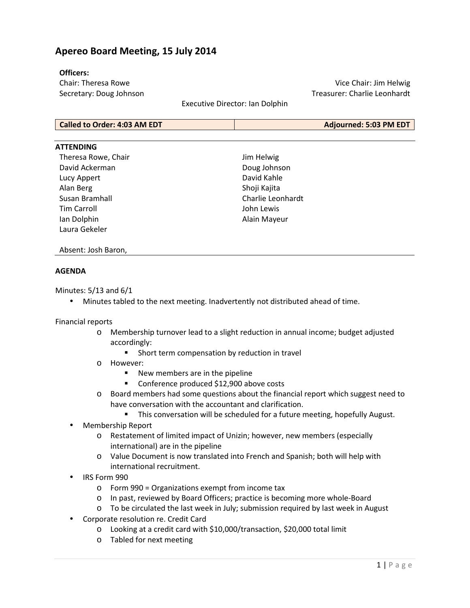# **Apereo Board Meeting, 15 July 2014**

### **Officers:**

Chair: Theresa Rowe Secretary: Doug Johnson

Vice Chair: Jim Helwig Treasurer: Charlie Leonhardt

Executive Director: Ian Dolphin

| Adjourned: 5:03 PM EDT |
|------------------------|
|                        |

### **ATTENDING**

Theresa Rowe, Chair David Ackerman Lucy Appert Alan Berg Susan Bramhall Tim Carroll Ian Dolphin Laura Gekeler

Jim Helwig Doug Johnson David Kahle Shoji Kajita Charlie Leonhardt John Lewis Alain Mayeur

#### Absent: Josh Baron,

### **AGENDA**

Minutes: 5/13 and 6/1

• Minutes tabled to the next meeting. Inadvertently not distributed ahead of time.

#### Financial reports

- o Membership turnover lead to a slight reduction in annual income; budget adjusted accordingly:
	- **Short term compensation by reduction in travel**
- o However:
	- New members are in the pipeline
	- **Conference produced \$12,900 above costs**
- o Board members had some questions about the financial report which suggest need to have conversation with the accountant and clarification.
	- This conversation will be scheduled for a future meeting, hopefully August.
- Membership Report
	- o Restatement of limited impact of Unizin; however, new members (especially international) are in the pipeline
	- o Value Document is now translated into French and Spanish; both will help with international recruitment.
- IRS Form 990
	- o Form 990 = Organizations exempt from income tax
	- o In past, reviewed by Board Officers; practice is becoming more whole-Board
	- o To be circulated the last week in July; submission required by last week in August
- Corporate resolution re. Credit Card
	- o Looking at a credit card with \$10,000/transaction, \$20,000 total limit
	- o Tabled for next meeting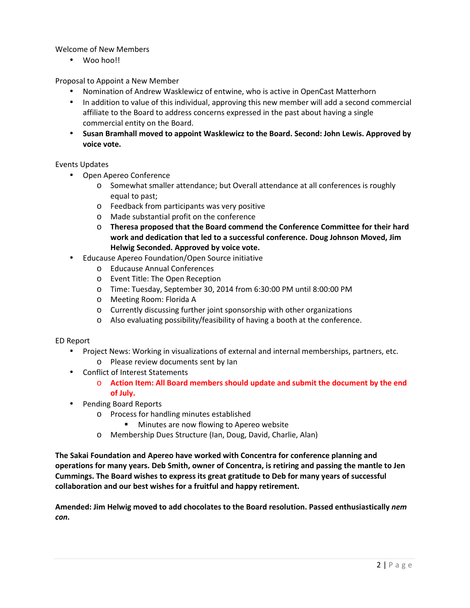## Welcome of New Members

• Woo hoo!!

Proposal to Appoint a New Member

- Nomination of Andrew Wasklewicz of entwine, who is active in OpenCast Matterhorn
- In addition to value of this individual, approving this new member will add a second commercial affiliate to the Board to address concerns expressed in the past about having a single commercial entity on the Board.
- **Susan Bramhall moved to appoint Wasklewicz to the Board. Second: John Lewis. Approved by voice vote.**

### Events Updates

- Open Apereo Conference
	- o Somewhat smaller attendance; but Overall attendance at all conferences is roughly equal to past;
	- o Feedback from participants was very positive
	- o Made substantial profit on the conference
	- o **Theresa proposed that the Board commend the Conference Committee for their hard work and dedication that led to a successful conference. Doug Johnson Moved, Jim Helwig Seconded. Approved by voice vote.**
- Educause Apereo Foundation/Open Source initiative
	- o Educause Annual Conferences
	- o Event Title: The Open Reception
	- o Time: Tuesday, September 30, 2014 from 6:30:00 PM until 8:00:00 PM
	- o Meeting Room: Florida A
	- o Currently discussing further joint sponsorship with other organizations
	- o Also evaluating possibility/feasibility of having a booth at the conference.

### ED Report

- Project News: Working in visualizations of external and internal memberships, partners, etc.
	- o Please review documents sent by Ian
- Conflict of Interest Statements
	- o **Action Item: All Board members should update and submit the document by the end of July.**
- Pending Board Reports
	- o Process for handling minutes established
		- **Minutes are now flowing to Apereo website**
	- o Membership Dues Structure (Ian, Doug, David, Charlie, Alan)

**The Sakai Foundation and Apereo have worked with Concentra for conference planning and operations for many years. Deb Smith, owner of Concentra, is retiring and passing the mantle to Jen Cummings. The Board wishes to express its great gratitude to Deb for many years of successful collaboration and our best wishes for a fruitful and happy retirement.** 

**Amended: Jim Helwig moved to add chocolates to the Board resolution. Passed enthusiastically** *nem con.*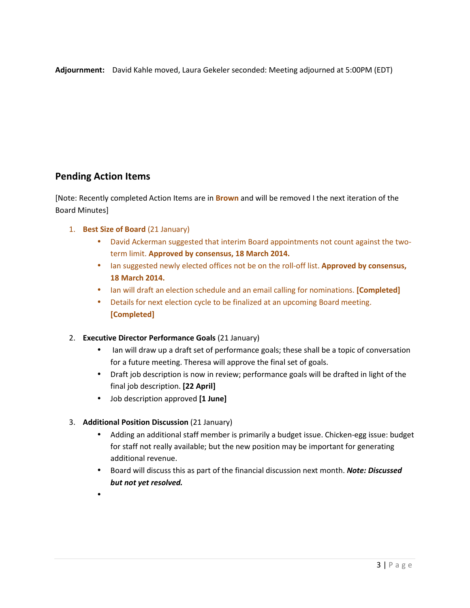**Adjournment:** David Kahle moved, Laura Gekeler seconded: Meeting adjourned at 5:00PM (EDT)

# **Pending Action Items**

[Note: Recently completed Action Items are in **Brown** and will be removed I the next iteration of the Board Minutes]

- 1. **Best Size of Board** (21 January)
	- David Ackerman suggested that interim Board appointments not count against the twoterm limit. **Approved by consensus, 18 March 2014.**
	- Ian suggested newly elected offices not be on the roll-off list. **Approved by consensus, 18 March 2014.**
	- Ian will draft an election schedule and an email calling for nominations. **[Completed]**
	- Details for next election cycle to be finalized at an upcoming Board meeting. **[Completed]**
- 2. **Executive Director Performance Goals** (21 January)
	- Ian will draw up a draft set of performance goals; these shall be a topic of conversation for a future meeting. Theresa will approve the final set of goals.
	- Draft job description is now in review; performance goals will be drafted in light of the final job description. **[22 April]**
	- Job description approved **[1 June]**
- 3. **Additional Position Discussion** (21 January)
	- Adding an additional staff member is primarily a budget issue. Chicken-egg issue: budget for staff not really available; but the new position may be important for generating additional revenue.
	- Board will discuss this as part of the financial discussion next month. *Note: Discussed but not yet resolved.*
	- •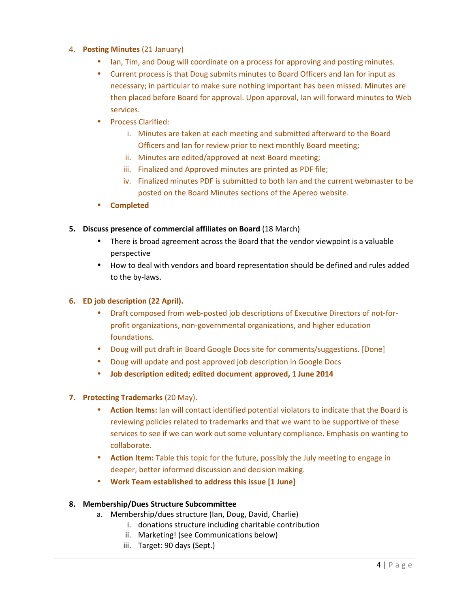# 4. **Posting Minutes** (21 January)

- Ian, Tim, and Doug will coordinate on a process for approving and posting minutes.
- Current process is that Doug submits minutes to Board Officers and Ian for input as necessary; in particular to make sure nothing important has been missed. Minutes are then placed before Board for approval. Upon approval, Ian will forward minutes to Web services.
- Process Clarified:
	- i. Minutes are taken at each meeting and submitted afterward to the Board Officers and Ian for review prior to next monthly Board meeting;
	- ii. Minutes are edited/approved at next Board meeting;
	- iii. Finalized and Approved minutes are printed as PDF file;
	- iv. Finalized minutes PDF is submitted to both Ian and the current webmaster to be posted on the Board Minutes sections of the Apereo website.
- **Completed**

### **5. Discuss presence of commercial affiliates on Board** (18 March)

- There is broad agreement across the Board that the vendor viewpoint is a valuable perspective
- How to deal with vendors and board representation should be defined and rules added to the by-laws.

## **6. ED job description (22 April).**

- Draft composed from web-posted job descriptions of Executive Directors of not-forprofit organizations, non-governmental organizations, and higher education foundations.
- Doug will put draft in Board Google Docs site for comments/suggestions. [Done]
- Doug will update and post approved job description in Google Docs
- **Job description edited; edited document approved, 1 June 2014**
- **7. Protecting Trademarks** (20 May).
	- **Action Items:** Ian will contact identified potential violators to indicate that the Board is reviewing policies related to trademarks and that we want to be supportive of these services to see if we can work out some voluntary compliance. Emphasis on wanting to collaborate.
	- **Action Item:** Table this topic for the future, possibly the July meeting to engage in deeper, better informed discussion and decision making.
	- **Work Team established to address this issue [1 June]**

### **8. Membership/Dues Structure Subcommittee**

- a. Membership/dues structure (Ian, Doug, David, Charlie)
	- i. donations structure including charitable contribution
	- ii. Marketing! (see Communications below)
	- iii. Target: 90 days (Sept.)